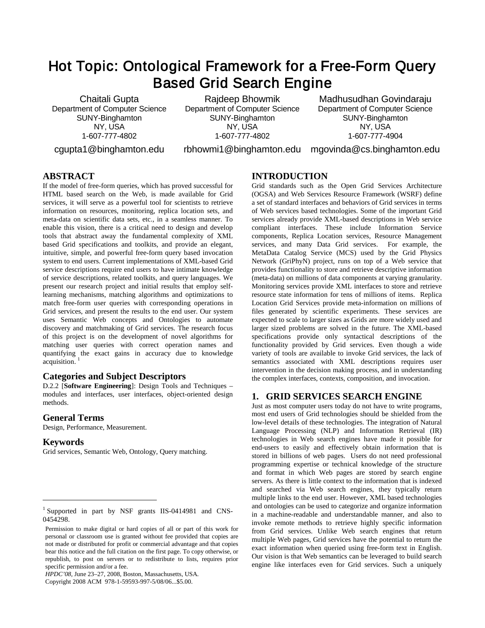# Hot Topic: Ontological Framework for a Free-Form Query Based Grid Search Engine

Chaitali Gupta Department of Computer Science SUNY-Binghamton NY, USA 1-607-777-4802

cgupta1@binghamton.edu

Rajdeep Bhowmik Department of Computer Science SUNY-Binghamton NY, USA 1-607-777-4802

Madhusudhan Govindaraju Department of Computer Science SUNY-Binghamton NY, USA 1-607-777-4904

rbhowmi1@binghamton.edu mgovinda@cs.binghamton.edu

# **ABSTRACT**

If the model of free-form queries, which has proved successful for HTML based search on the Web, is made available for Grid services, it will serve as a powerful tool for scientists to retrieve information on resources, monitoring, replica location sets, and meta-data on scientific data sets, etc., in a seamless manner. To enable this vision, there is a critical need to design and develop tools that abstract away the fundamental complexity of XML based Grid specifications and toolkits, and provide an elegant, intuitive, simple, and powerful free-form query based invocation system to end users. Current implementations of XML-based Grid service descriptions require end users to have intimate knowledge of service descriptions, related toolkits, and query languages. We present our research project and initial results that employ selflearning mechanisms, matching algorithms and optimizations to match free-form user queries with corresponding operations in Grid services, and present the results to the end user. Our system uses Semantic Web concepts and Ontologies to automate discovery and matchmaking of Grid services. The research focus of this project is on the development of novel algorithms for matching user queries with correct operation names and quantifying the exact gains in accuracy due to knowledge acquisition.<sup>[1](#page-0-0)</sup>

#### **Categories and Subject Descriptors**

D.2.2 [**Software Engineering**]: Design Tools and Techniques – modules and interfaces, user interfaces, object-oriented design methods.

#### **General Terms**

Design, Performance, Measurement.

#### **Keywords**

j

Grid services, Semantic Web, Ontology, Query matching.

#### **INTRODUCTION**

Grid standards such as the Open Grid Services Architecture (OGSA) and Web Services Resource Framework (WSRF) define a set of standard interfaces and behaviors of Grid services in terms of Web services based technologies. Some of the important Grid services already provide XML-based descriptions in Web service compliant interfaces. These include Information Service components, Replica Location services, Resource Management services, and many Data Grid services. For example, the MetaData Catalog Service (MCS) used by the Grid Physics Network (GriPhyN) project, runs on top of a Web service that provides functionality to store and retrieve descriptive information (meta-data) on millions of data components at varying granularity. Monitoring services provide XML interfaces to store and retrieve resource state information for tens of millions of items. Replica Location Grid Services provide meta-information on millions of files generated by scientific experiments. These services are expected to scale to larger sizes as Grids are more widely used and larger sized problems are solved in the future. The XML-based specifications provide only syntactical descriptions of the functionality provided by Grid services. Even though a wide variety of tools are available to invoke Grid services, the lack of semantics associated with XML descriptions requires user intervention in the decision making process, and in understanding the complex interfaces, contexts, composition, and invocation.

## **1. GRID SERVICES SEARCH ENGINE**

Just as most computer users today do not have to write programs, most end users of Grid technologies should be shielded from the low-level details of these technologies. The integration of Natural Language Processing (NLP) and Information Retrieval (IR) technologies in Web search engines have made it possible for end-users to easily and effectively obtain information that is stored in billions of web pages. Users do not need professional programming expertise or technical knowledge of the structure and format in which Web pages are stored by search engine servers. As there is little context to the information that is indexed and searched via Web search engines, they typically return multiple links to the end user. However, XML based technologies and ontologies can be used to categorize and organize information in a machine-readable and understandable manner, and also to invoke remote methods to retrieve highly specific information from Grid services. Unlike Web search engines that return multiple Web pages, Grid services have the potential to return the exact information when queried using free-form text in English. Our vision is that Web semantics can be leveraged to build search engine like interfaces even for Grid services. Such a uniquely

<span id="page-0-0"></span><sup>&</sup>lt;sup>1</sup> Supported in part by NSF grants IIS-0414981 and CNS-0454298.

Permission to make digital or hard copies of all or part of this work for personal or classroom use is granted without fee provided that copies are not made or distributed for profit or commercial advantage and that copies bear this notice and the full citation on the first page. To copy otherwise, or republish, to post on servers or to redistribute to lists, requires prior specific permission and/or a fee.

*HPDC'08,* June 23–27, 2008, Boston, Massachusetts, USA.

Copyright 2008 ACM 978-1-59593-997-5/08/06...\$5.00.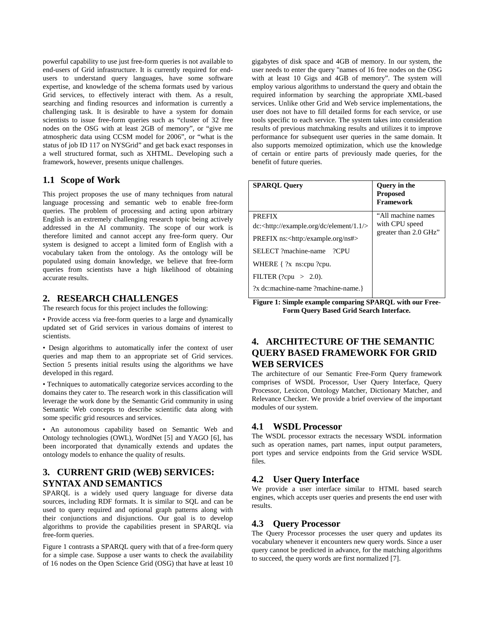powerful capability to use just free-form queries is not available to end-users of Grid infrastructure. It is currently required for endusers to understand query languages, have some software expertise, and knowledge of the schema formats used by various Grid services, to effectively interact with them. As a result, searching and finding resources and information is currently a challenging task. It is desirable to have a system for domain scientists to issue free-form queries such as "cluster of 32 free nodes on the OSG with at least 2GB of memory", or "give me atmospheric data using CCSM model for 2006", or "what is the status of job ID 117 on NYSGrid" and get back exact responses in a well structured format, such as XHTML. Developing such a framework, however, presents unique challenges.

## **1.1 Scope of Work**

This project proposes the use of many techniques from natural language processing and semantic web to enable free-form queries. The problem of processing and acting upon arbitrary English is an extremely challenging research topic being actively addressed in the AI community. The scope of our work is therefore limited and cannot accept any free-form query. Our system is designed to accept a limited form of English with a vocabulary taken from the ontology. As the ontology will be populated using domain knowledge, we believe that free-form queries from scientists have a high likelihood of obtaining accurate results.

## **2. RESEARCH CHALLENGES**

The research focus for this project includes the following:

• Provide access via free-form queries to a large and dynamically updated set of Grid services in various domains of interest to scientists.

• Design algorithms to automatically infer the context of user queries and map them to an appropriate set of Grid services. Section 5 presents initial results using the algorithms we have developed in this regard.

• Techniques to automatically categorize services according to the domains they cater to. The research work in this classification will leverage the work done by the Semantic Grid community in using Semantic Web concepts to describe scientific data along with some specific grid resources and services.

• An autonomous capability based on Semantic Web and Ontology technologies (OWL), WordNet [5] and YAGO [6], has been incorporated that dynamically extends and updates the ontology models to enhance the quality of results.

## **3. CURRENT GRID (WEB) SERVICES: SYNTAX AND SEMANTICS**

SPARQL is a widely used query language for diverse data sources, including RDF formats. It is similar to SQL and can be used to query required and optional graph patterns along with their conjunctions and disjunctions. Our goal is to develop algorithms to provide the capabilities present in SPARQL via free-form queries.

Figure 1 contrasts a SPARQL query with that of a free-form query for a simple case. Suppose a user wants to check the availability of 16 nodes on the Open Science Grid (OSG) that have at least 10

gigabytes of disk space and 4GB of memory. In our system, the user needs to enter the query "names of 16 free nodes on the OSG with at least 10 Gigs and 4GB of memory". The system will employ various algorithms to understand the query and obtain the required information by searching the appropriate XML-based services. Unlike other Grid and Web service implementations, the user does not have to fill detailed forms for each service, or use tools specific to each service. The system takes into consideration results of previous matchmaking results and utilizes it to improve performance for subsequent user queries in the same domain. It also supports memoized optimization, which use the knowledge of certain or entire parts of previously made queries, for the benefit of future queries.

| <b>SPAROL Query</b>                                        | <b>Query</b> in the<br><b>Proposed</b><br><b>Framework</b> |
|------------------------------------------------------------|------------------------------------------------------------|
| <b>PREFIX</b>                                              | "All machine names                                         |
| dc: <http: 1.1="" dc="" element="" example.org=""></http:> | with CPU speed                                             |
| $PREFIX$ ns: <http: example.org="" ns#=""></http:>         | greater than 2.0 GHz"                                      |
| SELECT ?machine-name<br>$?$ CPU                            |                                                            |
| WHERE $\{?x$ ns:cpu ?cpu.                                  |                                                            |
| FILTER (?cpu $>$ 2.0).                                     |                                                            |
| ?x dc:machine-name ?machine-name.}                         |                                                            |

**Figure 1: Simple example comparing SPARQL with our Free-Form Query Based Grid Search Interface.**

# **4. ARCHITECTURE OF THE SEMANTIC QUERY BASED FRAMEWORK FOR GRID WEB SERVICES**

The architecture of our Semantic Free-Form Query framework comprises of WSDL Processor, User Query Interface, Query Processor, Lexicon, Ontology Matcher, Dictionary Matcher, and Relevance Checker. We provide a brief overview of the important modules of our system.

#### **4.1 WSDL Processor**

The WSDL processor extracts the necessary WSDL information such as operation names, part names, input output parameters, port types and service endpoints from the Grid service WSDL files.

## **4.2 User Query Interface**

We provide a user interface similar to HTML based search engines, which accepts user queries and presents the end user with results.

#### **4.3 Query Processor**

The Query Processor processes the user query and updates its vocabulary whenever it encounters new query words. Since a user query cannot be predicted in advance, for the matching algorithms to succeed, the query words are first normalized [7].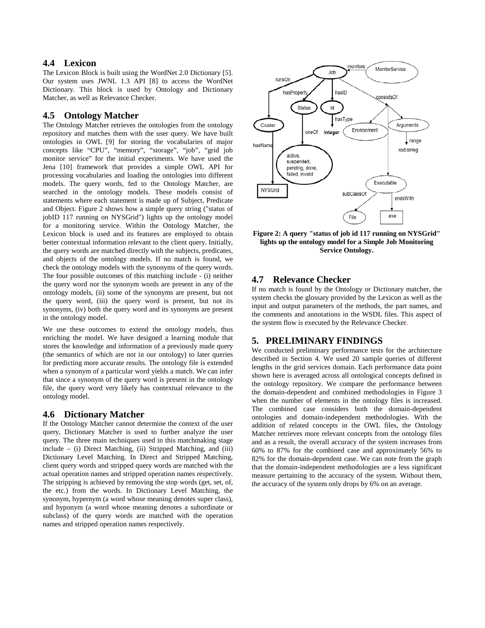## **4.4 Lexicon**

The Lexicon Block is built using the WordNet 2.0 Dictionary [5]. Our system uses JWNL 1.3 API [8] to access the WordNet Dictionary. This block is used by Ontology and Dictionary Matcher, as well as Relevance Checker.

#### **4.5 Ontology Matcher**

The Ontology Matcher retrieves the ontologies from the ontology repository and matches them with the user query. We have built ontologies in OWL [9] for storing the vocabularies of major concepts like "CPU", "memory", "storage", "job", "grid job monitor service" for the initial experiments. We have used the Jena [10] framework that provides a simple OWL API for processing vocabularies and loading the ontologies into different models. The query words, fed to the Ontology Matcher, are searched in the ontology models. These models consist of statements where each statement is made up of Subject, Predicate and Object. Figure 2 shows how a simple query string ("status of jobID 117 running on NYSGrid") lights up the ontology model for a monitoring service. Within the Ontology Matcher, the Lexicon block is used and its features are employed to obtain better contextual information relevant to the client query. Initially, the query words are matched directly with the subjects, predicates, and objects of the ontology models. If no match is found, we check the ontology models with the synonyms of the query words. The four possible outcomes of this matching include - (i) neither the query word nor the synonym words are present in any of the ontology models, (ii) some of the synonyms are present, but not the query word, (iii) the query word is present, but not its synonyms, (iv) both the query word and its synonyms are present in the ontology model.

We use these outcomes to extend the ontology models, thus enriching the model. We have designed a learning module that stores the knowledge and information of a previously made query (the semantics of which are not in our ontology) to later queries for predicting more accurate results. The ontology file is extended when a synonym of a particular word yields a match. We can infer that since a synonym of the query word is present in the ontology file, the query word very likely has contextual relevance to the ontology model.

#### **4.6 Dictionary Matcher**

If the Ontology Matcher cannot determine the context of the user query, Dictionary Matcher is used to further analyze the user query. The three main techniques used in this matchmaking stage include – (i) Direct Matching, (ii) Stripped Matching, and (iii) Dictionary Level Matching. In Direct and Stripped Matching, client query words and stripped query words are matched with the actual operation names and stripped operation names respectively. The stripping is achieved by removing the stop words (get, set, of, the etc.) from the words. In Dictionary Level Matching, the synonym, hypernym (a word whose meaning denotes super class), and hyponym (a word whose meaning denotes a subordinate or subclass) of the query words are matched with the operation names and stripped operation names respectively.



**Figure 2: A query "status of job id 117 running on NYSGrid" lights up the ontology model for a Simple Job Monitoring Service Ontology.**

#### **4.7 Relevance Checker**

If no match is found by the Ontology or Dictionary matcher, the system checks the glossary provided by the Lexicon as well as the input and output parameters of the methods, the part names, and the comments and annotations in the WSDL files. This aspect of the system flow is executed by the Relevance Checker.

#### **5. PRELIMINARY FINDINGS**

We conducted preliminary performance tests for the architecture described in Section 4. We used 20 sample queries of different lengths in the grid services domain. Each performance data point shown here is averaged across all ontological concepts defined in the ontology repository. We compare the performance between the domain-dependent and combined methodologies in Figure 3 when the number of elements in the ontology files is increased. The combined case considers both the domain-dependent ontologies and domain-independent methodologies. With the addition of related concepts in the OWL files, the Ontology Matcher retrieves more relevant concepts from the ontology files and as a result, the overall accuracy of the system increases from 60% to 87% for the combined case and approximately 56% to 82% for the domain-dependent case. We can note from the graph that the domain-independent methodologies are a less significant measure pertaining to the accuracy of the system. Without them, the accuracy of the system only drops by 6% on an average.